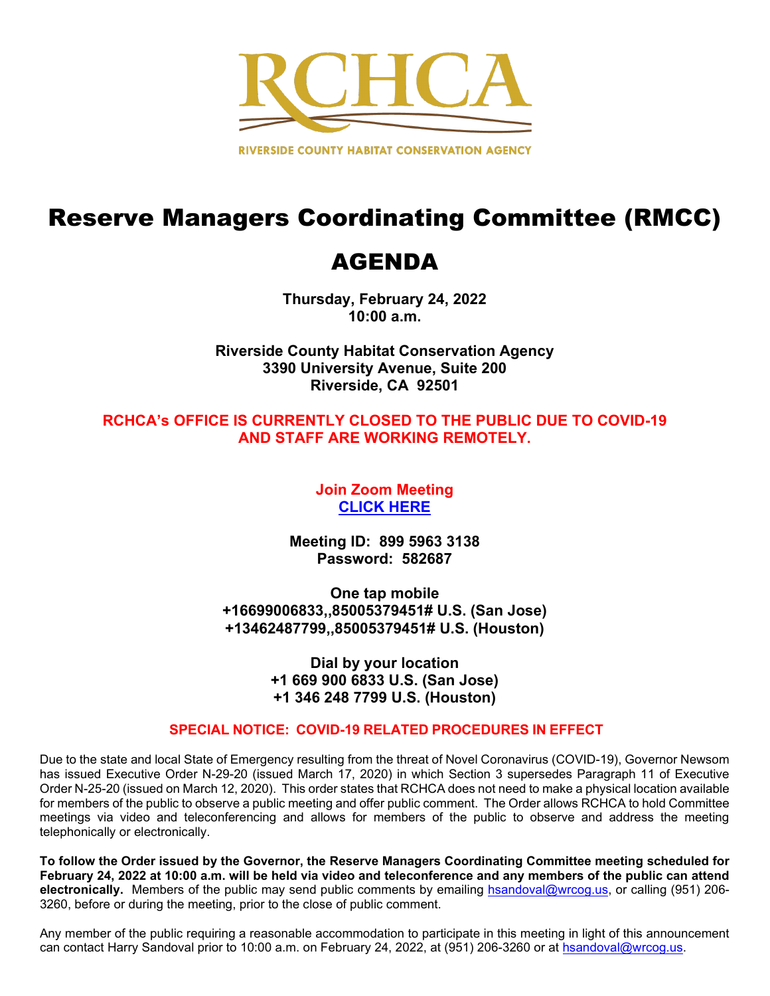

# Reserve Managers Coordinating Committee (RMCC)

# AGENDA

**Thursday, February 24, 2022 10:00 a.m.**

**Riverside County Habitat Conservation Agency 3390 University Avenue, Suite 200 Riverside, CA 92501**

# **RCHCA's OFFICE IS CURRENTLY CLOSED TO THE PUBLIC DUE TO COVID-19 AND STAFF ARE WORKING REMOTELY.**

**Join Zoom Meeting [CLICK HERE](https://us06web.zoom.us/j/89959633138?pwd=bndiK3hKcUdNWjVCR2dxS0djZkdkUT09)**

**Meeting ID: 899 5963 3138 Password: 582687**

**One tap mobile +16699006833,,85005379451# U.S. (San Jose) +13462487799,,85005379451# U.S. (Houston)**

> **Dial by your location +1 669 900 6833 U.S. (San Jose) +1 346 248 7799 U.S. (Houston)**

#### **SPECIAL NOTICE: COVID-19 RELATED PROCEDURES IN EFFECT**

Due to the state and local State of Emergency resulting from the threat of Novel Coronavirus (COVID-19), Governor Newsom has issued Executive Order N-29-20 (issued March 17, 2020) in which Section 3 supersedes Paragraph 11 of Executive Order N-25-20 (issued on March 12, 2020). This order states that RCHCA does not need to make a physical location available for members of the public to observe a public meeting and offer public comment. The Order allows RCHCA to hold Committee meetings via video and teleconferencing and allows for members of the public to observe and address the meeting telephonically or electronically.

**To follow the Order issued by the Governor, the Reserve Managers Coordinating Committee meeting scheduled for February 24, 2022 at 10:00 a.m. will be held via video and teleconference and any members of the public can attend electronically.** Members of the public may send public comments by emailing [hsandoval@wrcog.us,](mailto:hsandoval@wrcog.us) or calling (951) 206- 3260, before or during the meeting, prior to the close of public comment.

Any member of the public requiring a reasonable accommodation to participate in this meeting in light of this announcement can contact Harry Sandoval prior to 10:00 a.m. on February 24, 2022, at (951) 206-3260 or at [hsandoval@wrcog.us.](mailto:hsandoval@wrcog.us)